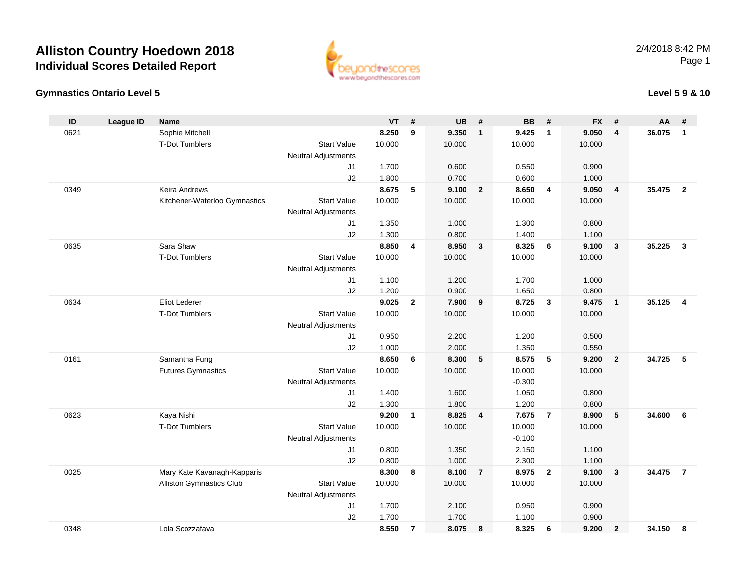

### **Gymnastics Ontario Level 5**

### **Level 5 9 & 10**

| ID   | <b>League ID</b> | <b>Name</b>                     |                            | <b>VT</b> | #              | <b>UB</b> | #              | <b>BB</b> | #              | <b>FX</b> | #                       | AA     | #              |
|------|------------------|---------------------------------|----------------------------|-----------|----------------|-----------|----------------|-----------|----------------|-----------|-------------------------|--------|----------------|
| 0621 |                  | Sophie Mitchell                 |                            | 8.250     | 9              | 9.350     | $\mathbf{1}$   | 9.425     | $\overline{1}$ | 9.050     | 4                       | 36.075 | $\mathbf{1}$   |
|      |                  | <b>T-Dot Tumblers</b>           | <b>Start Value</b>         | 10.000    |                | 10.000    |                | 10.000    |                | 10.000    |                         |        |                |
|      |                  |                                 | <b>Neutral Adjustments</b> |           |                |           |                |           |                |           |                         |        |                |
|      |                  |                                 | J1                         | 1.700     |                | 0.600     |                | 0.550     |                | 0.900     |                         |        |                |
|      |                  |                                 | J2                         | 1.800     |                | 0.700     |                | 0.600     |                | 1.000     |                         |        |                |
| 0349 |                  | <b>Keira Andrews</b>            |                            | 8.675     | 5              | 9.100     | $\overline{2}$ | 8.650     | 4              | 9.050     | $\overline{\mathbf{4}}$ | 35.475 | $\overline{2}$ |
|      |                  | Kitchener-Waterloo Gymnastics   | <b>Start Value</b>         | 10.000    |                | 10.000    |                | 10.000    |                | 10.000    |                         |        |                |
|      |                  |                                 | <b>Neutral Adjustments</b> |           |                |           |                |           |                |           |                         |        |                |
|      |                  |                                 | J1                         | 1.350     |                | 1.000     |                | 1.300     |                | 0.800     |                         |        |                |
|      |                  |                                 | J2                         | 1.300     |                | 0.800     |                | 1.400     |                | 1.100     |                         |        |                |
| 0635 |                  | Sara Shaw                       |                            | 8.850     | 4              | 8.950     | $\mathbf{3}$   | 8.325     | 6              | 9.100     | $\mathbf{3}$            | 35.225 | $\mathbf{3}$   |
|      |                  | <b>T-Dot Tumblers</b>           | <b>Start Value</b>         | 10.000    |                | 10.000    |                | 10.000    |                | 10.000    |                         |        |                |
|      |                  |                                 | <b>Neutral Adjustments</b> |           |                |           |                |           |                |           |                         |        |                |
|      |                  |                                 | J1                         | 1.100     |                | 1.200     |                | 1.700     |                | 1.000     |                         |        |                |
|      |                  |                                 | J2                         | 1.200     |                | 0.900     |                | 1.650     |                | 0.800     |                         |        |                |
| 0634 |                  | Eliot Lederer                   |                            | 9.025     | $\mathbf{2}$   | 7.900     | 9              | 8.725     | $\mathbf{3}$   | 9.475     | $\overline{\mathbf{1}}$ | 35.125 | $\overline{4}$ |
|      |                  | <b>T-Dot Tumblers</b>           | <b>Start Value</b>         | 10.000    |                | 10.000    |                | 10.000    |                | 10.000    |                         |        |                |
|      |                  |                                 | <b>Neutral Adjustments</b> |           |                |           |                |           |                |           |                         |        |                |
|      |                  |                                 | J1                         | 0.950     |                | 2.200     |                | 1.200     |                | 0.500     |                         |        |                |
|      |                  |                                 | J2                         | 1.000     |                | 2.000     |                | 1.350     |                | 0.550     |                         |        |                |
| 0161 |                  | Samantha Fung                   |                            | 8.650     | 6              | 8.300     | 5              | 8.575     | 5              | 9.200     | $\overline{\mathbf{2}}$ | 34.725 | - 5            |
|      |                  | <b>Futures Gymnastics</b>       | <b>Start Value</b>         | 10.000    |                | 10.000    |                | 10.000    |                | 10.000    |                         |        |                |
|      |                  |                                 | <b>Neutral Adjustments</b> |           |                |           |                | $-0.300$  |                |           |                         |        |                |
|      |                  |                                 | J1                         | 1.400     |                | 1.600     |                | 1.050     |                | 0.800     |                         |        |                |
|      |                  |                                 | J2                         | 1.300     |                | 1.800     |                | 1.200     |                | 0.800     |                         |        |                |
| 0623 |                  | Kaya Nishi                      |                            | 9.200     | 1              | 8.825     | 4              | 7.675     | $\overline{7}$ | 8.900     | $5\phantom{.0}$         | 34.600 | 6              |
|      |                  | <b>T-Dot Tumblers</b>           | <b>Start Value</b>         | 10.000    |                | 10.000    |                | 10.000    |                | 10.000    |                         |        |                |
|      |                  |                                 | <b>Neutral Adjustments</b> |           |                |           |                | $-0.100$  |                |           |                         |        |                |
|      |                  |                                 | J1                         | 0.800     |                | 1.350     |                | 2.150     |                | 1.100     |                         |        |                |
|      |                  |                                 | J2                         | 0.800     |                | 1.000     |                | 2.300     |                | 1.100     |                         |        |                |
| 0025 |                  | Mary Kate Kavanagh-Kapparis     |                            | 8.300     | 8              | 8.100     | $\overline{7}$ | 8.975     | $\mathbf{2}$   | 9.100     | $\mathbf{3}$            | 34.475 | $\overline{7}$ |
|      |                  | <b>Alliston Gymnastics Club</b> | <b>Start Value</b>         | 10.000    |                | 10.000    |                | 10.000    |                | 10.000    |                         |        |                |
|      |                  |                                 | <b>Neutral Adjustments</b> |           |                |           |                |           |                |           |                         |        |                |
|      |                  |                                 | J1                         | 1.700     |                | 2.100     |                | 0.950     |                | 0.900     |                         |        |                |
|      |                  |                                 | J2                         | 1.700     |                | 1.700     |                | 1.100     |                | 0.900     |                         |        |                |
| 0348 |                  | Lola Scozzafava                 |                            | 8.550     | $\overline{7}$ | 8.075     | 8              | 8.325     | 6              | 9.200     | $\overline{2}$          | 34.150 | 8              |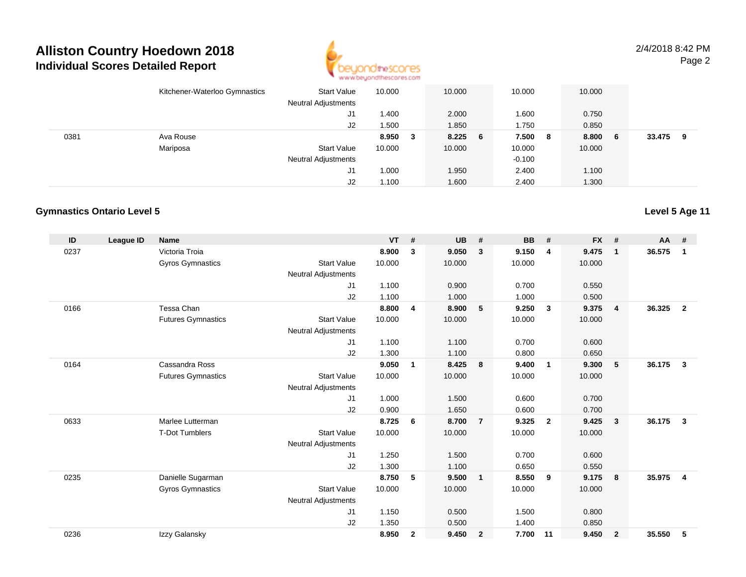

2/4/2018 8:42 PMPage 2

|      | Kitchener-Waterloo Gymnastics | Start Value<br><b>Neutral Adjustments</b> | 10.000 |   | 10.000    | 10.000   |     | 10.000 |     |        |   |
|------|-------------------------------|-------------------------------------------|--------|---|-----------|----------|-----|--------|-----|--------|---|
|      |                               | J1                                        | .400   |   | 2.000     | 1.600    |     | 0.750  |     |        |   |
|      |                               | J2                                        | .500   |   | 1.850     | 1.750    |     | 0.850  |     |        |   |
| 0381 | Ava Rouse                     |                                           | 8.950  | 3 | $8.225$ 6 | 7.500    | - 8 | 8.800  | - 6 | 33.475 | 9 |
|      | Mariposa                      | <b>Start Value</b>                        | 10.000 |   | 10.000    | 10.000   |     | 10.000 |     |        |   |
|      |                               | <b>Neutral Adjustments</b>                |        |   |           | $-0.100$ |     |        |     |        |   |
|      |                               | J1                                        | 000، ا |   | 1.950     | 2.400    |     | 1.100  |     |        |   |
|      |                               | J2                                        | .100   |   | 1.600     | 2.400    |     | 1.300  |     |        |   |

#### **Gymnastics Ontario Level 5**

| ID   | <b>League ID</b> | <b>Name</b>               |                            | <b>VT</b> | #            | <b>UB</b> | #              | <b>BB</b> | #              | <b>FX</b> | #              | $AA$ # |                |
|------|------------------|---------------------------|----------------------------|-----------|--------------|-----------|----------------|-----------|----------------|-----------|----------------|--------|----------------|
| 0237 |                  | Victoria Troia            |                            | 8.900     | 3            | 9.050     | 3              | 9.150     | $\overline{4}$ | 9.475     | $\mathbf{1}$   | 36.575 | 1              |
|      |                  | Gyros Gymnastics          | <b>Start Value</b>         | 10.000    |              | 10.000    |                | 10.000    |                | 10.000    |                |        |                |
|      |                  |                           | <b>Neutral Adjustments</b> |           |              |           |                |           |                |           |                |        |                |
|      |                  |                           | J1                         | 1.100     |              | 0.900     |                | 0.700     |                | 0.550     |                |        |                |
|      |                  |                           | J2                         | 1.100     |              | 1.000     |                | 1.000     |                | 0.500     |                |        |                |
| 0166 |                  | Tessa Chan                |                            | 8.800     | 4            | 8.900     | 5              | 9.250     | $\mathbf{3}$   | 9.375     | $\overline{4}$ | 36.325 | $\overline{2}$ |
|      |                  | <b>Futures Gymnastics</b> | <b>Start Value</b>         | 10.000    |              | 10.000    |                | 10.000    |                | 10.000    |                |        |                |
|      |                  |                           | <b>Neutral Adjustments</b> |           |              |           |                |           |                |           |                |        |                |
|      |                  |                           | J <sub>1</sub>             | 1.100     |              | 1.100     |                | 0.700     |                | 0.600     |                |        |                |
|      |                  |                           | J <sub>2</sub>             | 1.300     |              | 1.100     |                | 0.800     |                | 0.650     |                |        |                |
| 0164 |                  | Cassandra Ross            |                            | 9.050     | 1            | 8.425     | 8              | 9.400     | $\mathbf 1$    | 9.300     | 5              | 36.175 | 3              |
|      |                  | <b>Futures Gymnastics</b> | <b>Start Value</b>         | 10.000    |              | 10.000    |                | 10.000    |                | 10.000    |                |        |                |
|      |                  |                           | <b>Neutral Adjustments</b> |           |              |           |                |           |                |           |                |        |                |
|      |                  |                           | J <sub>1</sub>             | 1.000     |              | 1.500     |                | 0.600     |                | 0.700     |                |        |                |
|      |                  |                           | J <sub>2</sub>             | 0.900     |              | 1.650     |                | 0.600     |                | 0.700     |                |        |                |
| 0633 |                  | Marlee Lutterman          |                            | 8.725     | 6            | 8.700     | $\overline{7}$ | 9.325     | $\overline{2}$ | 9.425     | 3              | 36.175 | 3              |
|      |                  | <b>T-Dot Tumblers</b>     | <b>Start Value</b>         | 10.000    |              | 10.000    |                | 10.000    |                | 10.000    |                |        |                |
|      |                  |                           | <b>Neutral Adjustments</b> |           |              |           |                |           |                |           |                |        |                |
|      |                  |                           | J <sub>1</sub>             | 1.250     |              | 1.500     |                | 0.700     |                | 0.600     |                |        |                |
|      |                  |                           | J2                         | 1.300     |              | 1.100     |                | 0.650     |                | 0.550     |                |        |                |
| 0235 |                  | Danielle Sugarman         |                            | 8.750     | 5            | 9.500     | $\overline{1}$ | 8.550     | - 9            | 9.175     | 8              | 35.975 | $\overline{4}$ |
|      |                  | <b>Gyros Gymnastics</b>   | <b>Start Value</b>         | 10.000    |              | 10.000    |                | 10.000    |                | 10.000    |                |        |                |
|      |                  |                           | <b>Neutral Adjustments</b> |           |              |           |                |           |                |           |                |        |                |
|      |                  |                           | J <sub>1</sub>             | 1.150     |              | 0.500     |                | 1.500     |                | 0.800     |                |        |                |
|      |                  |                           | J2                         | 1.350     |              | 0.500     |                | 1.400     |                | 0.850     |                |        |                |
| 0236 |                  | Izzy Galansky             |                            | 8.950     | $\mathbf{2}$ | 9.450     | $\overline{2}$ | 7.700     | 11             | 9.450     | $\overline{2}$ | 35.550 | 5              |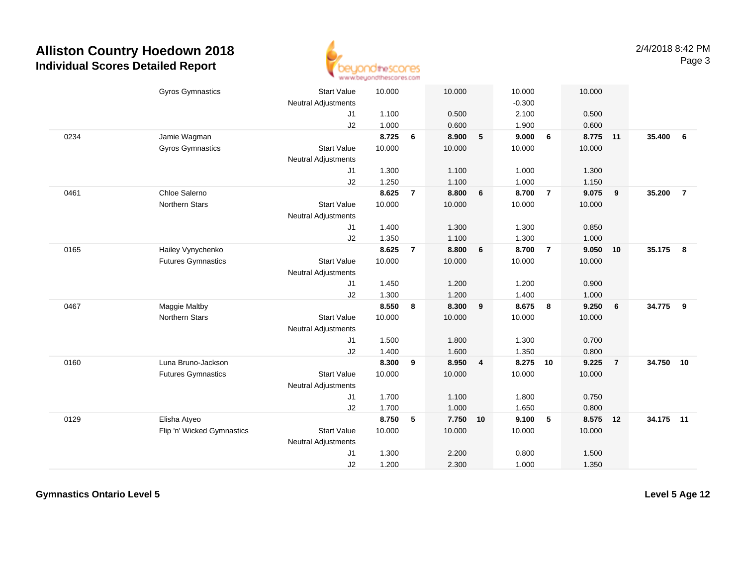

|      | <b>Gyros Gymnastics</b>    | <b>Start Value</b>         | 10.000 |                | 10.000   |   | 10.000   |                 | 10.000   |                |           |                |
|------|----------------------------|----------------------------|--------|----------------|----------|---|----------|-----------------|----------|----------------|-----------|----------------|
|      |                            | <b>Neutral Adjustments</b> |        |                |          |   | $-0.300$ |                 |          |                |           |                |
|      |                            | J <sub>1</sub>             | 1.100  |                | 0.500    |   | 2.100    |                 | 0.500    |                |           |                |
|      |                            | J2                         | 1.000  |                | 0.600    |   | 1.900    |                 | 0.600    |                |           |                |
| 0234 | Jamie Wagman               |                            | 8.725  | 6              | 8.900    | 5 | 9.000    | 6               | 8.775    | 11             | 35.400    | 6              |
|      | <b>Gyros Gymnastics</b>    | <b>Start Value</b>         | 10.000 |                | 10.000   |   | 10.000   |                 | 10.000   |                |           |                |
|      |                            | <b>Neutral Adjustments</b> |        |                |          |   |          |                 |          |                |           |                |
|      |                            | J1                         | 1.300  |                | 1.100    |   | 1.000    |                 | 1.300    |                |           |                |
|      |                            | J2                         | 1.250  |                | 1.100    |   | 1.000    |                 | 1.150    |                |           |                |
| 0461 | Chloe Salerno              |                            | 8.625  | $\overline{7}$ | 8.800    | 6 | 8.700    | $\overline{7}$  | 9.075    | 9              | 35.200    | $\overline{7}$ |
|      | <b>Northern Stars</b>      | <b>Start Value</b>         | 10.000 |                | 10.000   |   | 10.000   |                 | 10.000   |                |           |                |
|      |                            | <b>Neutral Adjustments</b> |        |                |          |   |          |                 |          |                |           |                |
|      |                            | J1                         | 1.400  |                | 1.300    |   | 1.300    |                 | 0.850    |                |           |                |
|      |                            | J2                         | 1.350  |                | 1.100    |   | 1.300    |                 | 1.000    |                |           |                |
| 0165 | Hailey Vynychenko          |                            | 8.625  | $\overline{7}$ | 8.800    | 6 | 8.700    | $\overline{7}$  | 9.050    | 10             | 35.175    | 8              |
|      | <b>Futures Gymnastics</b>  | <b>Start Value</b>         | 10.000 |                | 10.000   |   | 10.000   |                 | 10.000   |                |           |                |
|      |                            | Neutral Adjustments        |        |                |          |   |          |                 |          |                |           |                |
|      |                            | J1                         | 1.450  |                | 1.200    |   | 1.200    |                 | 0.900    |                |           |                |
|      |                            | J2                         | 1.300  |                | 1.200    |   | 1.400    |                 | 1.000    |                |           |                |
| 0467 | <b>Maggie Maltby</b>       |                            | 8.550  | 8              | 8.300    | 9 | 8.675    | 8               | 9.250    | 6              | 34.775    | 9              |
|      | Northern Stars             | <b>Start Value</b>         | 10.000 |                | 10.000   |   | 10.000   |                 | 10.000   |                |           |                |
|      |                            | Neutral Adjustments        |        |                |          |   |          |                 |          |                |           |                |
|      |                            | J1                         | 1.500  |                | 1.800    |   | 1.300    |                 | 0.700    |                |           |                |
|      |                            | J2                         | 1.400  |                | 1.600    |   | 1.350    |                 | 0.800    |                |           |                |
| 0160 | Luna Bruno-Jackson         |                            | 8.300  | 9              | 8.950    | 4 | 8.275    | 10              | 9.225    | $\overline{7}$ | 34.750    | 10             |
|      | <b>Futures Gymnastics</b>  | <b>Start Value</b>         | 10.000 |                | 10.000   |   | 10.000   |                 | 10.000   |                |           |                |
|      |                            | <b>Neutral Adjustments</b> |        |                |          |   |          |                 |          |                |           |                |
|      |                            | J1                         | 1.700  |                | 1.100    |   | 1.800    |                 | 0.750    |                |           |                |
|      |                            | J2                         | 1.700  |                | 1.000    |   | 1.650    |                 | 0.800    |                |           |                |
| 0129 | Elisha Atyeo               |                            | 8.750  | 5              | 7.750 10 |   | 9.100    | $5\phantom{.0}$ | 8.575 12 |                | 34.175 11 |                |
|      |                            | <b>Start Value</b>         |        |                |          |   |          |                 |          |                |           |                |
|      | Flip 'n' Wicked Gymnastics |                            | 10.000 |                | 10.000   |   | 10.000   |                 | 10.000   |                |           |                |
|      |                            | <b>Neutral Adjustments</b> |        |                |          |   |          |                 |          |                |           |                |
|      |                            | J1                         | 1.300  |                | 2.200    |   | 0.800    |                 | 1.500    |                |           |                |
|      |                            | J2                         | 1.200  |                | 2.300    |   | 1.000    |                 | 1.350    |                |           |                |

**Gymnastics Ontario Level 5**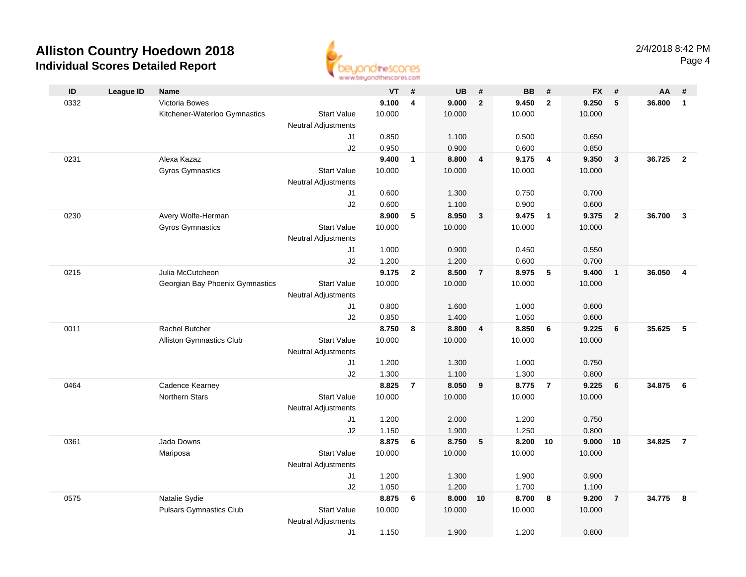

|      |                  |                                 |                                  | an an aaronadhouse and subserve |                         |           |                         |           |                         |           |                |        |                         |
|------|------------------|---------------------------------|----------------------------------|---------------------------------|-------------------------|-----------|-------------------------|-----------|-------------------------|-----------|----------------|--------|-------------------------|
| ID   | <b>League ID</b> | Name                            |                                  | <b>VT</b>                       | #                       | <b>UB</b> | #                       | <b>BB</b> | #                       | <b>FX</b> | #              | AA     | #                       |
| 0332 |                  | Victoria Bowes                  |                                  | 9.100                           | $\overline{\mathbf{4}}$ | 9.000     | $\mathbf{2}$            | 9.450     | $\overline{2}$          | 9.250     | 5              | 36.800 | $\mathbf{1}$            |
|      |                  | Kitchener-Waterloo Gymnastics   | <b>Start Value</b>               | 10.000                          |                         | 10.000    |                         | 10.000    |                         | 10.000    |                |        |                         |
|      |                  |                                 | Neutral Adjustments              |                                 |                         |           |                         |           |                         |           |                |        |                         |
|      |                  |                                 | J1                               | 0.850                           |                         | 1.100     |                         | 0.500     |                         | 0.650     |                |        |                         |
|      |                  |                                 | J2                               | 0.950                           |                         | 0.900     |                         | 0.600     |                         | 0.850     |                |        |                         |
| 0231 |                  | Alexa Kazaz                     |                                  | 9.400                           | $\mathbf{1}$            | 8.800     | $\overline{4}$          | 9.175     | $\overline{\mathbf{4}}$ | 9.350     | $\mathbf{3}$   | 36.725 | $\overline{2}$          |
|      |                  | <b>Gyros Gymnastics</b>         | <b>Start Value</b>               | 10.000                          |                         | 10.000    |                         | 10.000    |                         | 10.000    |                |        |                         |
|      |                  |                                 | <b>Neutral Adjustments</b>       |                                 |                         |           |                         |           |                         |           |                |        |                         |
|      |                  |                                 | J1                               | 0.600                           |                         | 1.300     |                         | 0.750     |                         | 0.700     |                |        |                         |
|      |                  |                                 | J2                               | 0.600                           |                         | 1.100     |                         | 0.900     |                         | 0.600     |                |        |                         |
| 0230 |                  | Avery Wolfe-Herman              |                                  | 8.900                           | 5                       | 8.950     | $\mathbf{3}$            | 9.475     | $\overline{\mathbf{1}}$ | 9.375     | $\overline{2}$ | 36.700 | $\mathbf{3}$            |
|      |                  | <b>Gyros Gymnastics</b>         | <b>Start Value</b>               | 10.000                          |                         | 10.000    |                         | 10.000    |                         | 10.000    |                |        |                         |
|      |                  |                                 | Neutral Adjustments              |                                 |                         |           |                         |           |                         |           |                |        |                         |
|      |                  |                                 | J1                               | 1.000                           |                         | 0.900     |                         | 0.450     |                         | 0.550     |                |        |                         |
|      |                  |                                 | J2                               | 1.200                           |                         | 1.200     |                         | 0.600     |                         | 0.700     |                |        |                         |
| 0215 |                  | Julia McCutcheon                |                                  | 9.175                           | $\overline{2}$          | 8.500     | $\overline{7}$          | 8.975     | 5                       | 9.400     | $\overline{1}$ | 36.050 | $\overline{\mathbf{4}}$ |
|      |                  | Georgian Bay Phoenix Gymnastics | <b>Start Value</b>               | 10.000                          |                         | 10.000    |                         | 10.000    |                         | 10.000    |                |        |                         |
|      |                  |                                 | Neutral Adjustments              |                                 |                         |           |                         |           |                         |           |                |        |                         |
|      |                  |                                 | J1                               | 0.800                           |                         | 1.600     |                         | 1.000     |                         | 0.600     |                |        |                         |
|      |                  |                                 | J2                               | 0.850                           |                         | 1.400     |                         | 1.050     |                         | 0.600     |                |        |                         |
| 0011 |                  | <b>Rachel Butcher</b>           |                                  | 8.750                           | 8                       | 8.800     | $\overline{\mathbf{4}}$ | 8.850     | 6                       | 9.225     | 6              | 35.625 | 5                       |
|      |                  | <b>Alliston Gymnastics Club</b> | <b>Start Value</b>               | 10.000                          |                         | 10.000    |                         | 10.000    |                         | 10.000    |                |        |                         |
|      |                  |                                 | <b>Neutral Adjustments</b>       |                                 |                         |           |                         |           |                         |           |                |        |                         |
|      |                  |                                 | J1                               | 1.200                           |                         | 1.300     |                         | 1.000     |                         | 0.750     |                |        |                         |
|      |                  |                                 | J2                               | 1.300                           |                         | 1.100     |                         | 1.300     |                         | 0.800     |                |        |                         |
| 0464 |                  | Cadence Kearney                 |                                  | 8.825                           | $\overline{7}$          | 8.050     | - 9                     | 8.775     | $\overline{7}$          | 9.225     | 6              | 34.875 | 6                       |
|      |                  | Northern Stars                  | <b>Start Value</b>               | 10.000                          |                         | 10.000    |                         | 10.000    |                         | 10.000    |                |        |                         |
|      |                  |                                 | <b>Neutral Adjustments</b><br>J1 | 1.200                           |                         | 2.000     |                         | 1.200     |                         | 0.750     |                |        |                         |
|      |                  |                                 | J2                               | 1.150                           |                         | 1.900     |                         | 1.250     |                         | 0.800     |                |        |                         |
| 0361 |                  | Jada Downs                      |                                  | 8.875                           | 6                       | 8.750     | 5                       | 8.200     | 10                      | 9.000     | 10             | 34.825 | $\overline{7}$          |
|      |                  | Mariposa                        | <b>Start Value</b>               | 10.000                          |                         | 10.000    |                         | 10.000    |                         | 10.000    |                |        |                         |
|      |                  |                                 | <b>Neutral Adjustments</b>       |                                 |                         |           |                         |           |                         |           |                |        |                         |
|      |                  |                                 | J1                               | 1.200                           |                         | 1.300     |                         | 1.900     |                         | 0.900     |                |        |                         |
|      |                  |                                 | J2                               | 1.050                           |                         | 1.200     |                         | 1.700     |                         | 1.100     |                |        |                         |
| 0575 |                  | Natalie Sydie                   |                                  | 8.875                           | 6                       | 8.000     | 10                      | 8.700     | 8                       | 9.200     | $\overline{7}$ | 34.775 | 8                       |
|      |                  | <b>Pulsars Gymnastics Club</b>  | <b>Start Value</b>               | 10.000                          |                         | 10.000    |                         | 10.000    |                         | 10.000    |                |        |                         |
|      |                  |                                 | <b>Neutral Adjustments</b>       |                                 |                         |           |                         |           |                         |           |                |        |                         |
|      |                  |                                 | J1                               | 1.150                           |                         | 1.900     |                         | 1.200     |                         | 0.800     |                |        |                         |
|      |                  |                                 |                                  |                                 |                         |           |                         |           |                         |           |                |        |                         |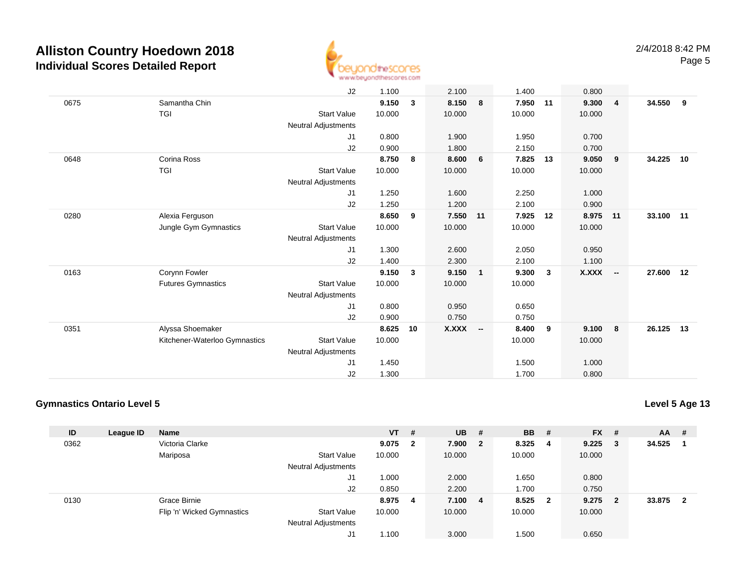

|      |                               | J2                         | 1.100  |              | 2.100     |              | 1.400  |              | 0.800  |                |           |    |
|------|-------------------------------|----------------------------|--------|--------------|-----------|--------------|--------|--------------|--------|----------------|-----------|----|
| 0675 | Samantha Chin                 |                            | 9.150  | $\mathbf{3}$ | 8.150     | 8            | 7.950  | 11           | 9.300  | $\overline{4}$ | 34.550    | 9  |
|      | <b>TGI</b>                    | <b>Start Value</b>         | 10.000 |              | 10.000    |              | 10.000 |              | 10.000 |                |           |    |
|      |                               | Neutral Adjustments        |        |              |           |              |        |              |        |                |           |    |
|      |                               | J1                         | 0.800  |              | 1.900     |              | 1.950  |              | 0.700  |                |           |    |
|      |                               | J2                         | 0.900  |              | 1.800     |              | 2.150  |              | 0.700  |                |           |    |
| 0648 | Corina Ross                   |                            | 8.750  | 8            | 8.600     | 6            | 7.825  | 13           | 9.050  | 9              | 34.225    | 10 |
|      | TGI                           | <b>Start Value</b>         | 10.000 |              | 10.000    |              | 10.000 |              | 10.000 |                |           |    |
|      |                               | Neutral Adjustments        |        |              |           |              |        |              |        |                |           |    |
|      |                               | J1                         | 1.250  |              | 1.600     |              | 2.250  |              | 1.000  |                |           |    |
|      |                               | J2                         | 1.250  |              | 1.200     |              | 2.100  |              | 0.900  |                |           |    |
| 0280 | Alexia Ferguson               |                            | 8.650  | 9            | 7.550     | 11           | 7.925  | 12           | 8.975  | 11             | 33.100 11 |    |
|      | Jungle Gym Gymnastics         | <b>Start Value</b>         | 10.000 |              | 10.000    |              | 10.000 |              | 10.000 |                |           |    |
|      |                               | <b>Neutral Adjustments</b> |        |              |           |              |        |              |        |                |           |    |
|      |                               | J1                         | 1.300  |              | 2.600     |              | 2.050  |              | 0.950  |                |           |    |
|      |                               | J2                         | 1.400  |              | 2.300     |              | 2.100  |              | 1.100  |                |           |    |
| 0163 | Corynn Fowler                 |                            | 9.150  | 3            | 9.150     | $\mathbf{1}$ | 9.300  | $\mathbf{3}$ | X.XXX  | $\sim$         | 27.600 12 |    |
|      | <b>Futures Gymnastics</b>     | <b>Start Value</b>         | 10.000 |              | 10.000    |              | 10.000 |              |        |                |           |    |
|      |                               | <b>Neutral Adjustments</b> |        |              |           |              |        |              |        |                |           |    |
|      |                               | J1                         | 0.800  |              | 0.950     |              | 0.650  |              |        |                |           |    |
|      |                               | J2                         | 0.900  |              | 0.750     |              | 0.750  |              |        |                |           |    |
| 0351 | Alyssa Shoemaker              |                            | 8.625  | 10           | $X.XXX$ - |              | 8.400  | 9            | 9.100  | $\bf{8}$       | 26.125    | 13 |
|      | Kitchener-Waterloo Gymnastics | <b>Start Value</b>         | 10.000 |              |           |              | 10.000 |              | 10.000 |                |           |    |
|      |                               | <b>Neutral Adjustments</b> |        |              |           |              |        |              |        |                |           |    |
|      |                               | J1                         | 1.450  |              |           |              | 1.500  |              | 1.000  |                |           |    |
|      |                               | J <sub>2</sub>             | 1.300  |              |           |              | 1.700  |              | 0.800  |                |           |    |

#### **Gymnastics Ontario Level 5**

| ID   | League ID | <b>Name</b>                |                            | $VT$ # |                | <b>UB</b> | - # | <b>BB</b> | -#                      | <b>FX</b> | #              | $AA$ # |                |
|------|-----------|----------------------------|----------------------------|--------|----------------|-----------|-----|-----------|-------------------------|-----------|----------------|--------|----------------|
| 0362 |           | Victoria Clarke            |                            | 9.075  | $\overline{2}$ | 7.900 2   |     | 8.325     | - 4                     | 9.225     | $\mathbf{3}$   | 34.525 |                |
|      |           | Mariposa                   | <b>Start Value</b>         | 10.000 |                | 10.000    |     | 10.000    |                         | 10.000    |                |        |                |
|      |           |                            | <b>Neutral Adjustments</b> |        |                |           |     |           |                         |           |                |        |                |
|      |           |                            | J1                         | .000   |                | 2.000     |     | 1.650     |                         | 0.800     |                |        |                |
|      |           |                            | J2                         | 0.850  |                | 2.200     |     | 1.700     |                         | 0.750     |                |        |                |
| 0130 |           | Grace Birnie               |                            | 8.975  | 4              | 7.100 4   |     | 8.525     | $\overline{\mathbf{2}}$ | 9.275     | $\overline{2}$ | 33.875 | $\overline{2}$ |
|      |           | Flip 'n' Wicked Gymnastics | <b>Start Value</b>         | 10.000 |                | 10.000    |     | 10.000    |                         | 10.000    |                |        |                |
|      |           |                            | <b>Neutral Adjustments</b> |        |                |           |     |           |                         |           |                |        |                |
|      |           |                            | J1                         | .100،  |                | 3.000     |     | 1.500     |                         | 0.650     |                |        |                |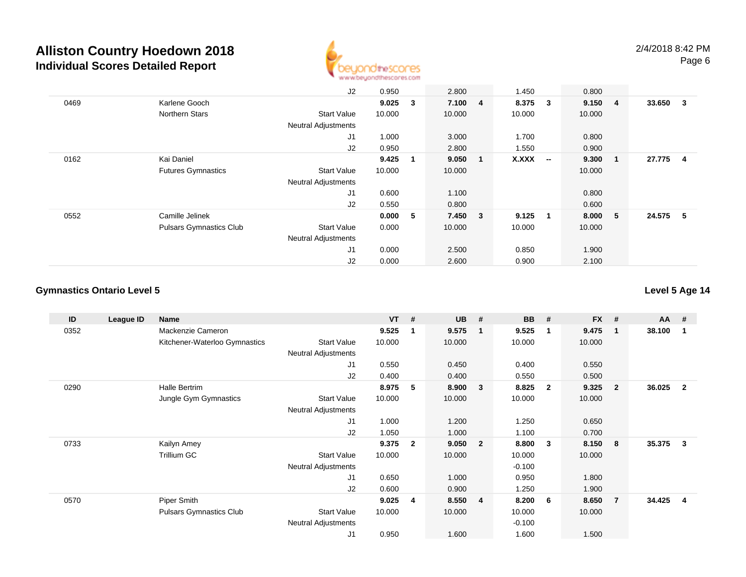

|      |                                | J2                         | 0.950  |             | 2.800   |    | 1.450  |                          | 0.800   |                |          |     |
|------|--------------------------------|----------------------------|--------|-------------|---------|----|--------|--------------------------|---------|----------------|----------|-----|
| 0469 | Karlene Gooch                  |                            | 9.025  | 3           | 7.100 4 |    | 8.375  | 3                        | 9.150 4 |                | 33.650 3 |     |
|      | Northern Stars                 | <b>Start Value</b>         | 10.000 |             | 10.000  |    | 10.000 |                          | 10.000  |                |          |     |
|      |                                | <b>Neutral Adjustments</b> |        |             |         |    |        |                          |         |                |          |     |
|      |                                | J <sub>1</sub>             | 1.000  |             | 3.000   |    | 1.700  |                          | 0.800   |                |          |     |
|      |                                | J2                         | 0.950  |             | 2.800   |    | 1.550  |                          | 0.900   |                |          |     |
| 0162 | Kai Daniel                     |                            | 9.425  | $\mathbf 1$ | 9.050   | -1 | X.XXX  | $\overline{\phantom{a}}$ | 9.300   | $\blacksquare$ | 27.775   | - 4 |
|      | <b>Futures Gymnastics</b>      | <b>Start Value</b>         | 10.000 |             | 10.000  |    |        |                          | 10.000  |                |          |     |
|      |                                | <b>Neutral Adjustments</b> |        |             |         |    |        |                          |         |                |          |     |
|      |                                | J <sub>1</sub>             | 0.600  |             | 1.100   |    |        |                          | 0.800   |                |          |     |
|      |                                | J2                         | 0.550  |             | 0.800   |    |        |                          | 0.600   |                |          |     |
| 0552 | Camille Jelinek                |                            | 0.000  | 5           | 7.450 3 |    | 9.125  | $\mathbf{1}$             | 8.000 5 |                | 24.575 5 |     |
|      | <b>Pulsars Gymnastics Club</b> | <b>Start Value</b>         | 0.000  |             | 10.000  |    | 10.000 |                          | 10.000  |                |          |     |
|      |                                | <b>Neutral Adjustments</b> |        |             |         |    |        |                          |         |                |          |     |
|      |                                | J <sub>1</sub>             | 0.000  |             | 2.500   |    | 0.850  |                          | 1.900   |                |          |     |
|      |                                | J2                         | 0.000  |             | 2.600   |    | 0.900  |                          | 2.100   |                |          |     |

### **Gymnastics Ontario Level 5**

| ID   | League ID | Name                          |                            | <b>VT</b> | #            | <b>UB</b> | #                       | <b>BB</b> | #            | <b>FX</b> | #              | $AA$ # |                |
|------|-----------|-------------------------------|----------------------------|-----------|--------------|-----------|-------------------------|-----------|--------------|-----------|----------------|--------|----------------|
| 0352 |           | Mackenzie Cameron             |                            | 9.525     | -1           | 9.575     | -1                      | 9.525     | -1           | 9.475     | 1              | 38.100 |                |
|      |           | Kitchener-Waterloo Gymnastics | <b>Start Value</b>         | 10.000    |              | 10.000    |                         | 10.000    |              | 10.000    |                |        |                |
|      |           |                               | <b>Neutral Adjustments</b> |           |              |           |                         |           |              |           |                |        |                |
|      |           |                               | J1                         | 0.550     |              | 0.450     |                         | 0.400     |              | 0.550     |                |        |                |
|      |           |                               | J2                         | 0.400     |              | 0.400     |                         | 0.550     |              | 0.500     |                |        |                |
| 0290 |           | Halle Bertrim                 |                            | 8.975     | 5            | 8.900     | $\overline{\mathbf{3}}$ | 8.825     | $\mathbf{2}$ | 9.325     | $\overline{2}$ | 36.025 | $\overline{2}$ |
|      |           | Jungle Gym Gymnastics         | <b>Start Value</b>         | 10.000    |              | 10.000    |                         | 10.000    |              | 10.000    |                |        |                |
|      |           |                               | Neutral Adjustments        |           |              |           |                         |           |              |           |                |        |                |
|      |           |                               | J1                         | 1.000     |              | 1.200     |                         | 1.250     |              | 0.650     |                |        |                |
|      |           |                               | J2                         | 1.050     |              | 1.000     |                         | 1.100     |              | 0.700     |                |        |                |
| 0733 |           | Kailyn Amey                   |                            | 9.375     | $\mathbf{2}$ | 9.050     | $\overline{\mathbf{2}}$ | 8.800     | -3           | 8.150     | 8              | 35.375 | 3              |
|      |           | Trillium GC                   | <b>Start Value</b>         | 10.000    |              | 10.000    |                         | 10.000    |              | 10.000    |                |        |                |
|      |           |                               | <b>Neutral Adjustments</b> |           |              |           |                         | $-0.100$  |              |           |                |        |                |
|      |           |                               | J1                         | 0.650     |              | 1.000     |                         | 0.950     |              | 1.800     |                |        |                |
|      |           |                               | J2                         | 0.600     |              | 0.900     |                         | 1.250     |              | 1.900     |                |        |                |
| 0570 |           | Piper Smith                   |                            | 9.025     | 4            | 8.550     | $\overline{4}$          | 8.200     | - 6          | 8.650     | $\overline{7}$ | 34.425 | 4              |
|      |           | Pulsars Gymnastics Club       | <b>Start Value</b>         | 10.000    |              | 10.000    |                         | 10.000    |              | 10.000    |                |        |                |
|      |           |                               | <b>Neutral Adjustments</b> |           |              |           |                         | $-0.100$  |              |           |                |        |                |
|      |           |                               | J <sub>1</sub>             | 0.950     |              | 1.600     |                         | 1.600     |              | 1.500     |                |        |                |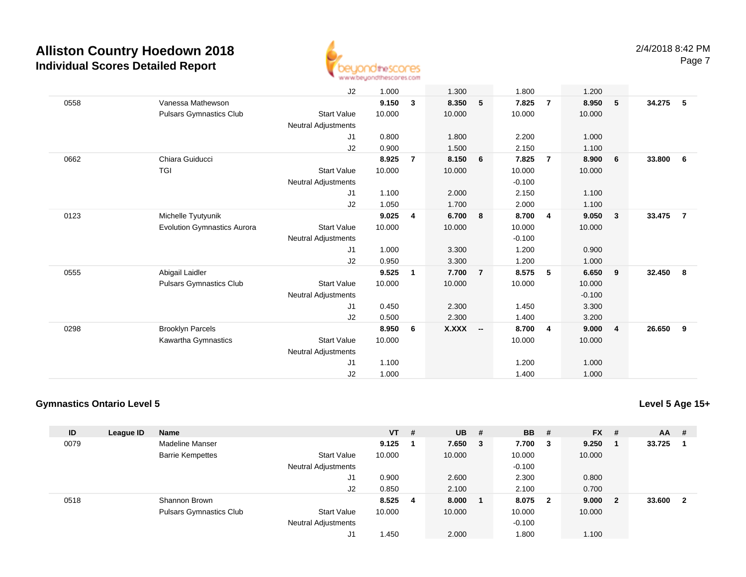

|      |                                    | J2                         | 1.000  |                | 1.300    |                | 1.800    |                | 1.200    |                         |        |                |
|------|------------------------------------|----------------------------|--------|----------------|----------|----------------|----------|----------------|----------|-------------------------|--------|----------------|
| 0558 | Vanessa Mathewson                  |                            | 9.150  | 3              | 8.350    | 5              | 7.825    | $\overline{7}$ | 8.950    | 5                       | 34.275 | - 5            |
|      | <b>Pulsars Gymnastics Club</b>     | <b>Start Value</b>         | 10.000 |                | 10.000   |                | 10.000   |                | 10.000   |                         |        |                |
|      |                                    | Neutral Adjustments        |        |                |          |                |          |                |          |                         |        |                |
|      |                                    | J1                         | 0.800  |                | 1.800    |                | 2.200    |                | 1.000    |                         |        |                |
|      |                                    | J2                         | 0.900  |                | 1.500    |                | 2.150    |                | 1.100    |                         |        |                |
| 0662 | Chiara Guiducci                    |                            | 8.925  | $\overline{7}$ | 8.150    | 6              | 7.825    | $\overline{7}$ | 8.900    | 6                       | 33.800 | - 6            |
|      | TGI                                | <b>Start Value</b>         | 10.000 |                | 10.000   |                | 10.000   |                | 10.000   |                         |        |                |
|      |                                    | Neutral Adjustments        |        |                |          |                | $-0.100$ |                |          |                         |        |                |
|      |                                    | J1                         | 1.100  |                | 2.000    |                | 2.150    |                | 1.100    |                         |        |                |
|      |                                    | J2                         | 1.050  |                | 1.700    |                | 2.000    |                | 1.100    |                         |        |                |
| 0123 | Michelle Tyutyunik                 |                            | 9.025  | 4              | 6.700    | 8              | 8.700    | $\overline{4}$ | 9.050    | $\overline{\mathbf{3}}$ | 33.475 | $\overline{7}$ |
|      | <b>Evolution Gymnastics Aurora</b> | <b>Start Value</b>         | 10.000 |                | 10.000   |                | 10.000   |                | 10.000   |                         |        |                |
|      |                                    | Neutral Adjustments        |        |                |          |                | $-0.100$ |                |          |                         |        |                |
|      |                                    | J1                         | 1.000  |                | 3.300    |                | 1.200    |                | 0.900    |                         |        |                |
|      |                                    | J2                         | 0.950  |                | 3.300    |                | 1.200    |                | 1.000    |                         |        |                |
| 0555 | Abigail Laidler                    |                            | 9.525  | $\mathbf{1}$   | 7.700    | $\overline{7}$ | 8.575    | 5              | 6.650    | 9                       | 32.450 | 8              |
|      | <b>Pulsars Gymnastics Club</b>     | <b>Start Value</b>         | 10.000 |                | 10.000   |                | 10.000   |                | 10.000   |                         |        |                |
|      |                                    | <b>Neutral Adjustments</b> |        |                |          |                |          |                | $-0.100$ |                         |        |                |
|      |                                    | J1                         | 0.450  |                | 2.300    |                | 1.450    |                | 3.300    |                         |        |                |
|      |                                    | J2                         | 0.500  |                | 2.300    |                | 1.400    |                | 3.200    |                         |        |                |
| 0298 | <b>Brooklyn Parcels</b>            |                            | 8.950  | 6              | X.XXX -- |                | 8.700    | $\overline{4}$ | 9.000    | $\overline{4}$          | 26.650 | -9             |
|      | Kawartha Gymnastics                | <b>Start Value</b>         | 10.000 |                |          |                | 10.000   |                | 10.000   |                         |        |                |
|      |                                    | <b>Neutral Adjustments</b> |        |                |          |                |          |                |          |                         |        |                |
|      |                                    | J1                         | 1.100  |                |          |                | 1.200    |                | 1.000    |                         |        |                |
|      |                                    | J2                         | 1.000  |                |          |                | 1.400    |                | 1.000    |                         |        |                |

#### **Gymnastics Ontario Level 5**

**Level 5 Age 15+**

| ID   | League ID | <b>Name</b>                    |                            | $VT$ #  | <b>UB</b> # |     | <b>BB</b> | -#                      | <b>FX</b> | # | $AA$ # |   |
|------|-----------|--------------------------------|----------------------------|---------|-------------|-----|-----------|-------------------------|-----------|---|--------|---|
| 0079 |           | Madeline Manser                |                            | 9.125   | 7.650       | - 3 | 7.700     | - 3                     | 9.250     |   | 33.725 |   |
|      |           | <b>Barrie Kempettes</b>        | <b>Start Value</b>         | 10.000  | 10.000      |     | 10.000    |                         | 10.000    |   |        |   |
|      |           |                                | <b>Neutral Adjustments</b> |         |             |     | $-0.100$  |                         |           |   |        |   |
|      |           |                                | J1                         | 0.900   | 2.600       |     | 2.300     |                         | 0.800     |   |        |   |
|      |           |                                | J2                         | 0.850   | 2.100       |     | 2.100     |                         | 0.700     |   |        |   |
| 0518 |           | Shannon Brown                  |                            | 8.525 4 | 8.000       |     | 8.075     | $\overline{\mathbf{2}}$ | 9.000     | 2 | 33.600 | 2 |
|      |           | <b>Pulsars Gymnastics Club</b> | <b>Start Value</b>         | 10.000  | 10.000      |     | 10.000    |                         | 10.000    |   |        |   |
|      |           |                                | <b>Neutral Adjustments</b> |         |             |     | $-0.100$  |                         |           |   |        |   |
|      |           |                                | J1                         | .450 ،  | 2.000       |     | 1.800     |                         | 1.100     |   |        |   |